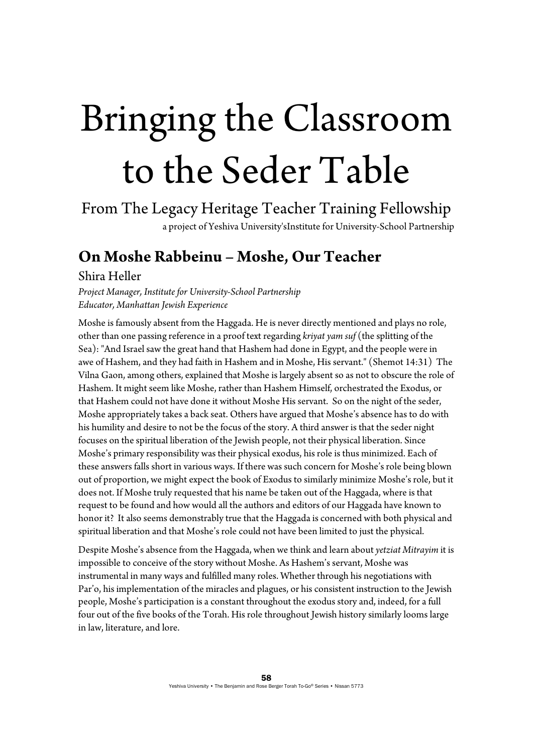# Bringing the Classroom to the Seder Table

From The Legacy Heritage Teacher Training Fellowship a project of Yeshiva University'sInstitute for University-School Partnership

## **On Moshe Rabbeinu – Moshe, Our Teacher**

## Shira Heller

*Project Manager, Institute for University-School Partnership Educator, Manhattan Jewish Experience*

Moshe is famously absent from the Haggada. He is never directly mentioned and plays no role, other than one passing reference in a proof text regarding *kriyat yam suf* (the splitting of the Sea): "And Israel saw the great hand that Hashem had done in Egypt, and the people were in awe of Hashem, and they had faith in Hashem and in Moshe, His servant." (Shemot 14:31) The Vilna Gaon, among others, explained that Moshe is largely absent so as not to obscure the role of Hashem. It might seem like Moshe, rather than Hashem Himself, orchestrated the Exodus, or that Hashem could not have done it without Moshe His servant. So on the night of the seder, Moshe appropriately takes a back seat. Others have argued that Moshe's absence has to do with his humility and desire to not be the focus of the story. A third answer is that the seder night focuses on the spiritual liberation of the Jewish people, not their physical liberation. Since Moshe's primary responsibility was their physical exodus, his role is thus minimized. Each of these answers falls short in various ways. If there was such concern for Moshe's role being blown out of proportion, we might expect the book of Exodus to similarly minimize Moshe's role, but it does not. If Moshe truly requested that his name be taken out of the Haggada, where is that request to be found and how would all the authors and editors of our Haggada have known to honor it? It also seems demonstrably true that the Haggada is concerned with both physical and spiritual liberation and that Moshe's role could not have been limited to just the physical.

Despite Moshe's absence from the Haggada, when we think and learn about *yetziat Mitrayim* it is impossible to conceive of the story without Moshe. As Hashem's servant, Moshe was instrumental in many ways and fulfilled many roles. Whether through his negotiations with Par'o, his implementation of the miracles and plagues, or his consistent instruction to the Jewish people, Moshe's participation is a constant throughout the exodus story and, indeed, for a full four out of the five books of the Torah. His role throughout Jewish history similarly looms large in law, literature, and lore.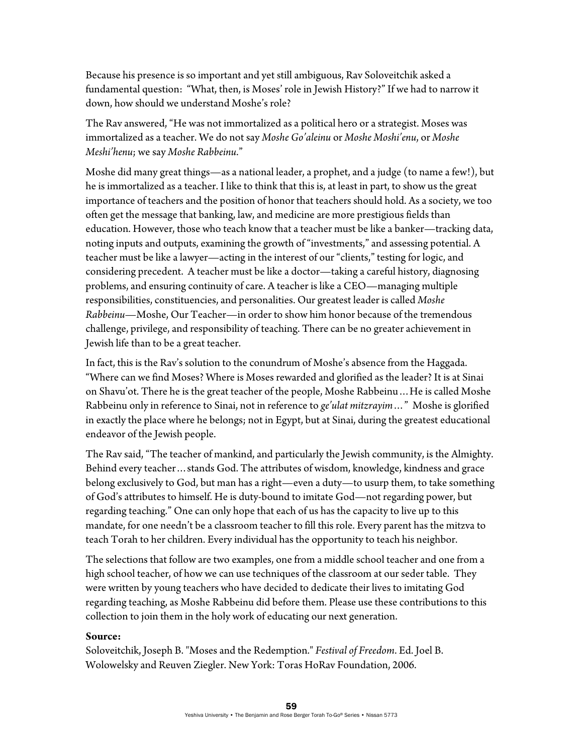Because his presence is so important and yet still ambiguous, Rav Soloveitchik asked a fundamental question: "What, then, is Moses' role in Jewish History?" If we had to narrow it down, how should we understand Moshe's role?

The Rav answered, "He was not immortalized as a political hero or a strategist. Moses was immortalized as a teacher. We do not say *Moshe Go'aleinu* or *Moshe Moshi'enu*, or *Moshe Meshi'henu*; we say *Moshe Rabbeinu*."

Moshe did many great things—as a national leader, a prophet, and a judge (to name a few!), but he is immortalized as a teacher. I like to think that this is, at least in part, to show us the great importance of teachers and the position of honor that teachers should hold. As a society, we too often get the message that banking, law, and medicine are more prestigious fields than education. However, those who teach know that a teacher must be like a banker—tracking data, noting inputs and outputs, examining the growth of "investments," and assessing potential. A teacher must be like a lawyer—acting in the interest of our "clients," testing for logic, and considering precedent. A teacher must be like a doctor—taking a careful history, diagnosing problems, and ensuring continuity of care. A teacher is like a CEO—managing multiple responsibilities, constituencies, and personalities. Our greatest leader is called *Moshe Rabbeinu*—Moshe, Our Teacher—in order to show him honor because of the tremendous challenge, privilege, and responsibility of teaching. There can be no greater achievement in Jewish life than to be a great teacher.

In fact, this is the Rav's solution to the conundrum of Moshe's absence from the Haggada. "Where can we find Moses? Where is Moses rewarded and glorified as the leader? It is at Sinai on Shavu'ot. There he is the great teacher of the people, Moshe Rabbeinu…He is called Moshe Rabbeinu only in reference to Sinai, not in reference to *ge'ulat mitzrayim*…" Moshe is glorified in exactly the place where he belongs; not in Egypt, but at Sinai, during the greatest educational endeavor of the Jewish people.

The Rav said, "The teacher of mankind, and particularly the Jewish community, is the Almighty. Behind every teacher…stands God. The attributes of wisdom, knowledge, kindness and grace belong exclusively to God, but man has a right—even a duty—to usurp them, to take something of God's attributes to himself. He is duty-bound to imitate God—not regarding power, but regarding teaching." One can only hope that each of us has the capacity to live up to this mandate, for one needn't be a classroom teacher to fill this role. Every parent has the mitzva to teach Torah to her children. Every individual has the opportunity to teach his neighbor.

The selections that follow are two examples, one from a middle school teacher and one from a high school teacher, of how we can use techniques of the classroom at our seder table. They were written by young teachers who have decided to dedicate their lives to imitating God regarding teaching, as Moshe Rabbeinu did before them. Please use these contributions to this collection to join them in the holy work of educating our next generation.

#### **Source:**

Soloveitchik, Joseph B. "Moses and the Redemption." *Festival of Freedom*. Ed. Joel B. Wolowelsky and Reuven Ziegler. New York: Toras HoRav Foundation, 2006.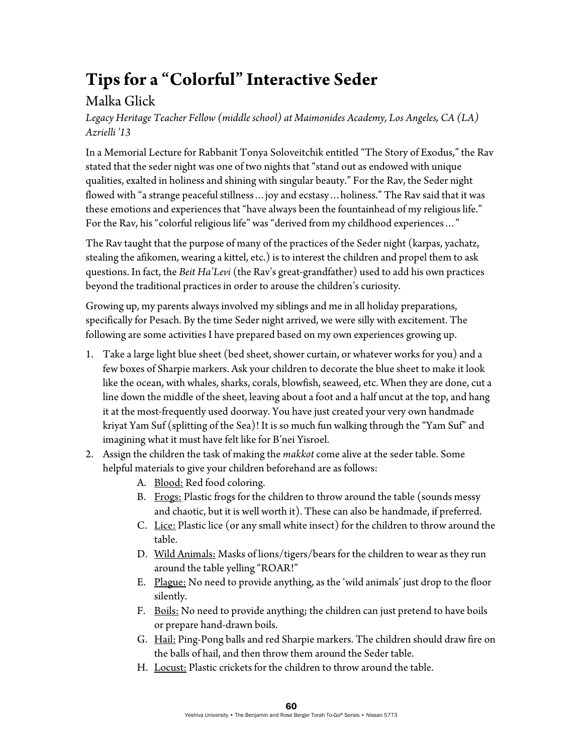## **Tips for a "Colorful" Interactive Seder**

## Malka Glick

*Legacy Heritage Teacher Fellow (middle school) at Maimonides Academy, Los Angeles, CA (LA) Azrielli '13* 

In a Memorial Lecture for Rabbanit Tonya Soloveitchik entitled "The Story of Exodus," the Rav stated that the seder night was one of two nights that "stand out as endowed with unique qualities, exalted in holiness and shining with singular beauty." For the Rav, the Seder night flowed with "a strange peaceful stillness…joy and ecstasy…holiness." The Rav said that it was these emotions and experiences that "have always been the fountainhead of my religious life." For the Rav, his "colorful religious life" was "derived from my childhood experiences…"

The Rav taught that the purpose of many of the practices of the Seder night (karpas, yachatz, stealing the afikomen, wearing a kittel, etc.) is to interest the children and propel them to ask questions. In fact, the *Beit Ha'Levi* (the Rav's great-grandfather) used to add his own practices beyond the traditional practices in order to arouse the children's curiosity.

Growing up, my parents always involved my siblings and me in all holiday preparations, specifically for Pesach. By the time Seder night arrived, we were silly with excitement. The following are some activities I have prepared based on my own experiences growing up.

- 1. Take a large light blue sheet (bed sheet, shower curtain, or whatever works for you) and a few boxes of Sharpie markers. Ask your children to decorate the blue sheet to make it look like the ocean, with whales, sharks, corals, blowfish, seaweed, etc. When they are done, cut a line down the middle of the sheet, leaving about a foot and a half uncut at the top, and hang it at the most-frequently used doorway. You have just created your very own handmade kriyat Yam Suf (splitting of the Sea)! It is so much fun walking through the "Yam Suf" and imagining what it must have felt like for B'nei Yisroel.
- 2. Assign the children the task of making the *makkot* come alive at the seder table. Some helpful materials to give your children beforehand are as follows:
	- A. Blood: Red food coloring.
	- B. Frogs: Plastic frogs for the children to throw around the table (sounds messy and chaotic, but it is well worth it). These can also be handmade, if preferred.
	- C. Lice: Plastic lice (or any small white insect) for the children to throw around the table.
	- D. Wild Animals: Masks of lions/tigers/bears for the children to wear as they run around the table yelling "ROAR!"
	- E. Plague: No need to provide anything, as the 'wild animals' just drop to the floor silently.
	- F. Boils: No need to provide anything; the children can just pretend to have boils or prepare hand-drawn boils.
	- G. Hail: Ping-Pong balls and red Sharpie markers. The children should draw fire on the balls of hail, and then throw them around the Seder table.
	- H. Locust: Plastic crickets for the children to throw around the table.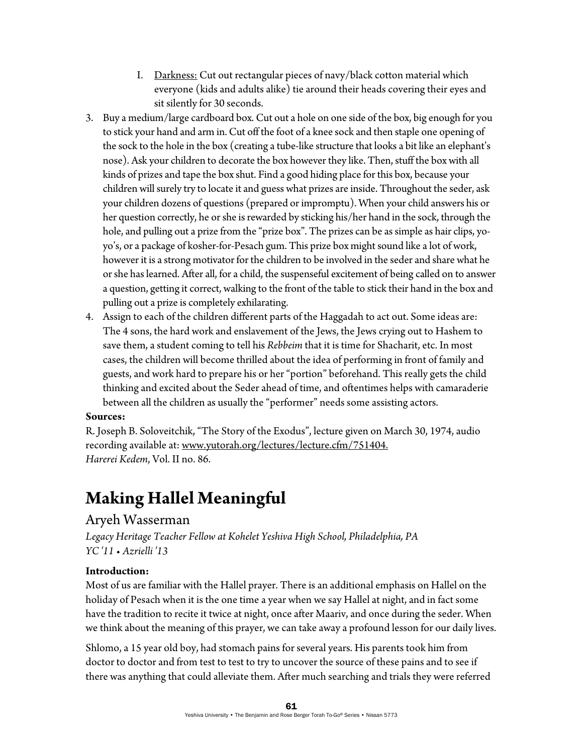- I. Darkness: Cut out rectangular pieces of navy/black cotton material which everyone (kids and adults alike) tie around their heads covering their eyes and sit silently for 30 seconds.
- 3. Buy a medium/large cardboard box. Cut out a hole on one side of the box, big enough for you to stick your hand and arm in. Cut off the foot of a knee sock and then staple one opening of the sock to the hole in the box (creating a tube-like structure that looks a bit like an elephant's nose). Ask your children to decorate the box however they like. Then, stuff the box with all kinds of prizes and tape the box shut. Find a good hiding place for this box, because your children will surely try to locate it and guess what prizes are inside. Throughout the seder, ask your children dozens of questions (prepared or impromptu). When your child answers his or her question correctly, he or she is rewarded by sticking his/her hand in the sock, through the hole, and pulling out a prize from the "prize box". The prizes can be as simple as hair clips, yoyo's, or a package of kosher-for-Pesach gum. This prize box might sound like a lot of work, however it is a strong motivator for the children to be involved in the seder and share what he or she has learned. After all, for a child, the suspenseful excitement of being called on to answer a question, getting it correct, walking to the front of the table to stick their hand in the box and pulling out a prize is completely exhilarating.
- 4. Assign to each of the children different parts of the Haggadah to act out. Some ideas are: The 4 sons, the hard work and enslavement of the Jews, the Jews crying out to Hashem to save them, a student coming to tell his *Rebbeim* that it is time for Shacharit, etc. In most cases, the children will become thrilled about the idea of performing in front of family and guests, and work hard to prepare his or her "portion" beforehand. This really gets the child thinking and excited about the Seder ahead of time, and oftentimes helps with camaraderie between all the children as usually the "performer" needs some assisting actors.

### **Sources:**

R. Joseph B. Soloveitchik, "The Story of the Exodus", lecture given on March 30, 1974, audio recording available at: www.yutorah.org/lectures/lecture.cfm/751404. *Harerei Kedem*, Vol. II no. 86.

## **Making Hallel Meaningful**

## Aryeh Wasserman

*Legacy Heritage Teacher Fellow at Kohelet Yeshiva High School, Philadelphia, PA YC '11 • Azrielli '13* 

### **Introduction:**

Most of us are familiar with the Hallel prayer. There is an additional emphasis on Hallel on the holiday of Pesach when it is the one time a year when we say Hallel at night, and in fact some have the tradition to recite it twice at night, once after Maariv, and once during the seder. When we think about the meaning of this prayer, we can take away a profound lesson for our daily lives.

Shlomo, a 15 year old boy, had stomach pains for several years. His parents took him from doctor to doctor and from test to test to try to uncover the source of these pains and to see if there was anything that could alleviate them. After much searching and trials they were referred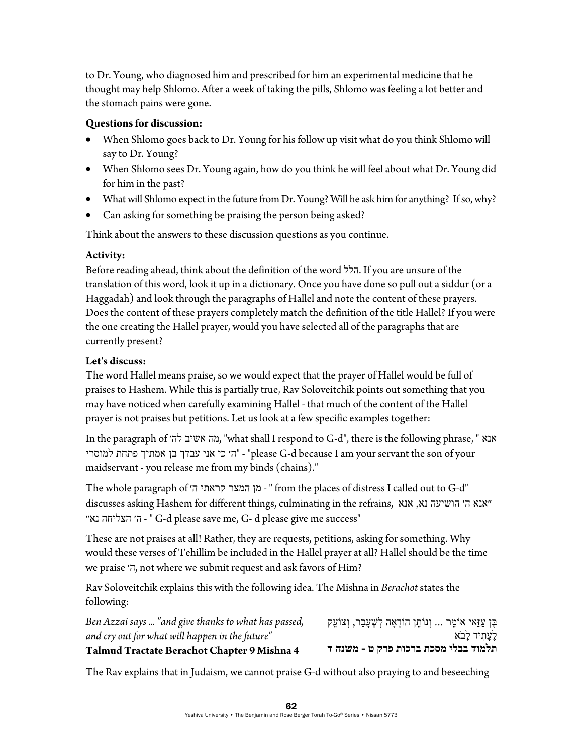to Dr. Young, who diagnosed him and prescribed for him an experimental medicine that he thought may help Shlomo. After a week of taking the pills, Shlomo was feeling a lot better and the stomach pains were gone.

## **Questions for discussion:**

- When Shlomo goes back to Dr. Young for his follow up visit what do you think Shlomo will say to Dr. Young?
- When Shlomo sees Dr. Young again, how do you think he will feel about what Dr. Young did for him in the past?
- What will Shlomo expect in the future from Dr. Young? Will he ask him for anything? If so, why?
- Can asking for something be praising the person being asked?

Think about the answers to these discussion questions as you continue.

## **Activity:**

Before reading ahead, think about the definition of the word הלל. If you are unsure of the translation of this word, look it up in a dictionary. Once you have done so pull out a siddur (or a Haggadah) and look through the paragraphs of Hallel and note the content of these prayers. Does the content of these prayers completely match the definition of the title Hallel? If you were the one creating the Hallel prayer, would you have selected all of the paragraphs that are currently present?

## **Let's discuss:**

The word Hallel means praise, so we would expect that the prayer of Hallel would be full of praises to Hashem. While this is partially true, Rav Soloveitchik points out something that you may have noticed when carefully examining Hallel - that much of the content of the Hallel prayer is not praises but petitions. Let us look at a few specific examples together:

In the paragraph of לה׳ אשיב מה," what shall I respond to G-d", there is the following phrase, " אנא למוסרי - "ה׳ כי אני עבדך בן אמתיך פתחת ה׳ מוסרי "please G-d because I am your servant the son of your maidservant - you release me from my binds (chains)."

The whole paragraph of המצר קראתי ה׳ from the places of distress I called out to G-d" discusses asking Hashem for different things, culminating in the refrains, אנא ,נא הושיעה ה׳ ״אנא נא״ הצליחה ה׳ - " G-d please save me, G- d please give me success"

These are not praises at all! Rather, they are requests, petitions, asking for something. Why would these verses of Tehillim be included in the Hallel prayer at all? Hallel should be the time we praise ה׳, not where we submit request and ask favors of Him?

Rav Soloveitchik explains this with the following idea. The Mishna in *Berachot* states the following:

*Ben Azzai says ... "and give thanks to what has passed, and cry out for what will happen in the future"*  **Talmud Tractate Berachot Chapter 9 Mishna 4** 

ֶבּן ַעזַּאי ֵ אוֹמר ... ְו ֵ נוֹתן ָ הוֹדאָה ְל ֶשׁ ָע ַבר, ְו ֵ צוֹעק לעתיד לבא **תלמוד בבלי מסכת ברכות פרק ט - משנה ד**

The Rav explains that in Judaism, we cannot praise G-d without also praying to and beseeching